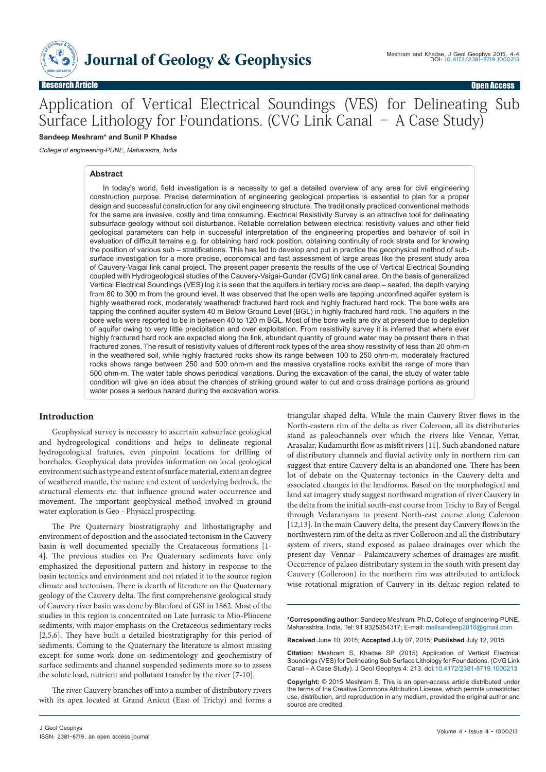

# Application of Vertical Electrical Soundings (VES) for Delineating Sub Surface Lithology for Foundations. (CVG Link Canal - A Case Study)

**Sandeep Meshram\* and Sunil P Khadse**

College of engineering-PUNE, Maharastra, India

#### **Abstract**

In today's world, field investigation is a necessity to get a detailed overview of any area for civil engineering construction purpose. Precise determination of engineering geological properties is essential to plan for a proper design and successful construction for any civil engineering structure. The traditionally practiced conventional methods for the same are invasive, costly and time consuming. Electrical Resistivity Survey is an attractive tool for delineating subsurface geology without soil disturbance. Reliable correlation between electrical resistivity values and other field geological parameters can help in successful interpretation of the engineering properties and behavior of soil in evaluation of difficult terrains e.g. for obtaining hard rock position, obtaining continuity of rock strata and for knowing the position of various sub – stratifications. This has led to develop and put in practice the geophysical method of subsurface investigation for a more precise, economical and fast assessment of large areas like the present study area of Cauvery-Vaigai link canal project. The present paper presents the results of the use of Vertical Electrical Sounding coupled with Hydrogeological studies of the Cauvery-Vaigai-Gundar (CVG) link canal area. On the basis of generalized Vertical Electrical Soundings (VES) log it is seen that the aquifers in tertiary rocks are deep – seated, the depth varying from 80 to 300 m from the ground level. It was observed that the open wells are tapping unconfined aquifer system is highly weathered rock, moderately weathered/ fractured hard rock and highly fractured hard rock. The bore wells are tapping the confined aquifer system 40 m Below Ground Level (BGL) in highly fractured hard rock. The aquifers in the bore wells were reported to be in between 40 to 120 m BGL. Most of the bore wells are dry at present due to depletion of aquifer owing to very little precipitation and over exploitation. From resistivity survey it is inferred that where ever highly fractured hard rock are expected along the link, abundant quantity of ground water may be present there in that fractured zones. The result of resistivity values of different rock types of the area show resistivity of less than 20 ohm-m in the weathered soil, while highly fractured rocks show its range between 100 to 250 ohm-m, moderately fractured rocks shows range between 250 and 500 ohm-m and the massive crystalline rocks exhibit the range of more than 500 ohm-m. The water table shows periodical variations. During the excavation of the canal, the study of water table condition will give an idea about the chances of striking ground water to cut and cross drainage portions as ground water poses a serious hazard during the excavation works.

#### **Introduction**

Geophysical survey is necessary to ascertain subsurface geological and hydrogeological conditions and helps to delineate regional hydrogeological features, even pinpoint locations for drilling of boreholes. Geophysical data provides information on local geological environment such as type and extent of surface material, extent an degree of weathered mantle, the nature and extent of underlying bedrock, the structural elements etc. that influence ground water occurrence and movement. The important geophysical method involved in ground water exploration is Geo - Physical prospecting.

The Pre Quaternary biostratigraphy and lithostatigraphy and environment of deposition and the associated tectonism in the Cauvery basin is well documented specially the Creataceous formations [1- 4]. The previous studies on Pre Quaternary sediments have only emphasized the depositional pattern and history in response to the basin tectonics and environment and not related it to the source region climate and tectonism. There is dearth of literature on the Quaternary geology of the Cauvery delta. The first comprehensive geological study of Cauvery river basin was done by Blanford of GSI in 1862. Most of the studies in this region is concentrated on Late Jurrasic to Mio-Pliocene sediments, with major emphasis on the Cretaceous sedimentary rocks [2,5,6]. They have built a detailed biostratigraphy for this period of sediments. Coming to the Quaternary the literature is almost missing except for some work done on sedimentology and geochemistry of surface sediments and channel suspended sediments more so to assess the solute load, nutrient and pollutant transfer by the river [7-10].

The river Cauvery branches off into a number of distributory rivers with its apex located at Grand Anicut (East of Trichy) and forms a triangular shaped delta. While the main Cauvery River flows in the North-eastern rim of the delta as river Coleroon, all its distributaries stand as paleochannels over which the rivers like Vennar, Vettar, Arasalar, Kudamurthi flow as misfit rivers [11]. Such abandoned nature of distributory channels and fluvial activity only in northern rim can suggest that entire Cauvery delta is an abandoned one. There has been lot of debate on the Quaternay tectonics in the Cauvery delta and associated changes in the landforms. Based on the morphological and land sat imagery study suggest northward migration of river Cauvery in the delta from the initial south-east course from Trichy to Bay of Bengal through Vedaranyam to present North-east course along Coleroon [12,13]. In the main Cauvery delta, the present day Cauvery flows in the northwestern rim of the delta as river Colleroon and all the distributary system of rivers, stand exposed as palaeo drainages over which the present day Vennar – Palamcauvery schemes of drainages are misfit. Occurrence of palaeo distributary system in the south with present day Cauvery (Colleroon) in the northern rim was attributed to anticlock wise rotational migration of Cauvery in its deltaic region related to

**\*Corresponding author:** Sandeep Meshram, Ph.D, College of engineering-PUNE, Maharashtra, India, Tel: 91 9325354317; E-mail: mailsandeep2010@gmail.com

**Received** June 10, 2015; **Accepted** July 07, 2015; **Published** July 12, 2015

**Citation:** Meshram S, Khadse SP (2015) Application of Vertical Electrical Soundings (VES) for Delineating Sub Surface Lithology for Foundations. (CVG Link Canal – A Case Study). J Geol Geophys 4: 213. doi:10.4172/2381-8719.1000213

**Copyright:** © 2015 Meshram S. This is an open-access article distributed under the terms of the Creative Commons Attribution License, which permits unrestricted use, distribution, and reproduction in any medium, provided the original author and source are credited.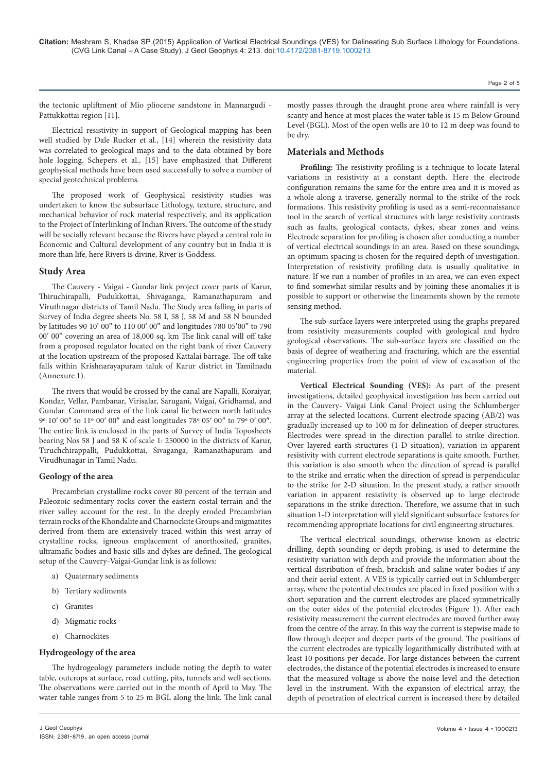the tectonic upliftment of Mio pliocene sandstone in Mannargudi - Pattukkottai region [11].

Electrical resistivity in support of Geological mapping has been well studied by Dale Rucker et al., [14] wherein the resistivity data was correlated to geological maps and to the data obtained by bore hole logging. Schepers et al., [15] have emphasized that Different geophysical methods have been used successfully to solve a number of special geotechnical problems.

The proposed work of Geophysical resistivity studies was undertaken to know the subsurface Lithology, texture, structure, and mechanical behavior of rock material respectively, and its application to the Project of Interlinking of Indian Rivers. The outcome of the study will be socially relevant because the Rivers have played a central role in Economic and Cultural development of any country but in India it is more than life, here Rivers is divine, River is Goddess.

## **Study Area**

The Cauvery - Vaigai - Gundar link project cover parts of Karur, Thiruchirapalli, Pudukkottai, Shivaganga, Ramanathapuram and Viruthnagar districts of Tamil Nadu. The Study area falling in parts of Survey of India degree sheets No. 58 I, 58 J, 58 M and 58 N bounded by latitudes 90 10' 00" to 110 00' 00" and longitudes 780 05'00" to 790 00' 00" covering an area of 18,000 sq. km The link canal will off take from a proposed regulator located on the right bank of river Cauvery at the location upstream of the proposed Kattalai barrage. The off take falls within Krishnarayapuram taluk of Karur district in Tamilnadu (Annexure 1).

The rivers that would be crossed by the canal are Napalli, Koraiyar, Kondar, Vellar, Pambanar, Virisalar, Sarugani, Vaigai, Gridhamal, and Gundar. Command area of the link canal lie between north latitudes 9º 10′ 00″ to 11º 00′ 00″ and east longitudes 78º 05′ 00″ to 79º 0′ 00″. The entire link is enclosed in the parts of Survey of India Toposheets bearing Nos 58 J and 58 K of scale 1: 250000 in the districts of Karur, Tiruchchirappalli, Pudukkottai, Sivaganga, Ramanathapuram and Virudhunagar in Tamil Nadu.

### **Geology of the area**

Precambrian crystalline rocks cover 80 percent of the terrain and Paleozoic sedimentary rocks cover the eastern costal terrain and the river valley account for the rest. In the deeply eroded Precambrian terrain rocks of the Khondalite and Charnockite Groups and migmatites derived from them are extensively traced within this west array of crystalline rocks, igneous emplacement of anorthosited, granites, ultramafic bodies and basic sills and dykes are defined. The geological setup of the Cauvery-Vaigai-Gundar link is as follows:

- a) Quaternary sediments
- b) Tertiary sediments
- c) Granites
- d) Migmatic rocks
- e) Charnockites

# **Hydrogeology of the area**

The hydrogeology parameters include noting the depth to water table, outcrops at surface, road cutting, pits, tunnels and well sections. The observations were carried out in the month of April to May. The water table ranges from 5 to 25 m BGL along the link. The link canal

mostly passes through the draught prone area where rainfall is very scanty and hence at most places the water table is 15 m Below Ground Level (BGL). Most of the open wells are 10 to 12 m deep was found to be dry.

# **Materials and Methods**

**Profiling:** The resistivity profiling is a technique to locate lateral variations in resistivity at a constant depth. Here the electrode configuration remains the same for the entire area and it is moved as a whole along a traverse, generally normal to the strike of the rock formations. This resistivity profiling is used as a semi-reconnaissance tool in the search of vertical structures with large resistivity contrasts such as faults, geological contacts, dykes, shear zones and veins. Electrode separation for profiling is chosen after conducting a number of vertical electrical soundings in an area. Based on these soundings, an optimum spacing is chosen for the required depth of investigation. Interpretation of resistivity profiling data is usually qualitative in nature. If we run a number of profiles in an area, we can even expect to find somewhat similar results and by joining these anomalies it is possible to support or otherwise the lineaments shown by the remote sensing method.

The sub-surface layers were interpreted using the graphs prepared from resistivity measurements coupled with geological and hydro geological observations. The sub-surface layers are classified on the basis of degree of weathering and fracturing, which are the essential engineering properties from the point of view of excavation of the material.

**Vertical Electrical Sounding (VES):** As part of the present investigations, detailed geophysical investigation has been carried out in the Cauvery- Vaigai Link Canal Project using the Schlumberger array at the selected locations. Current electrode spacing (AB/2) was gradually increased up to 100 m for delineation of deeper structures. Electrodes were spread in the direction parallel to strike direction. Over layered earth structures (1-D situation), variation in apparent resistivity with current electrode separations is quite smooth. Further, this variation is also smooth when the direction of spread is parallel to the strike and erratic when the direction of spread is perpendicular to the strike for 2-D situation. In the present study, a rather smooth variation in apparent resistivity is observed up to large electrode separations in the strike direction. Therefore, we assume that in such situation 1-D interpretation will yield significant subsurface features for recommending appropriate locations for civil engineering structures.

The vertical electrical soundings, otherwise known as electric drilling, depth sounding or depth probing, is used to determine the resistivity variation with depth and provide the information about the vertical distribution of fresh, brackish and saline water bodies if any and their aerial extent. A VES is typically carried out in Schlumberger array, where the potential electrodes are placed in fixed position with a short separation and the current electrodes are placed symmetrically on the outer sides of the potential electrodes (Figure 1). After each resistivity measurement the current electrodes are moved further away from the centre of the array. In this way the current is stepwise made to flow through deeper and deeper parts of the ground. The positions of the current electrodes are typically logarithmically distributed with at least 10 positions per decade. For large distances between the current electrodes, the distance of the potential electrodes is increased to ensure that the measured voltage is above the noise level and the detection level in the instrument. With the expansion of electrical array, the depth of penetration of electrical current is increased there by detailed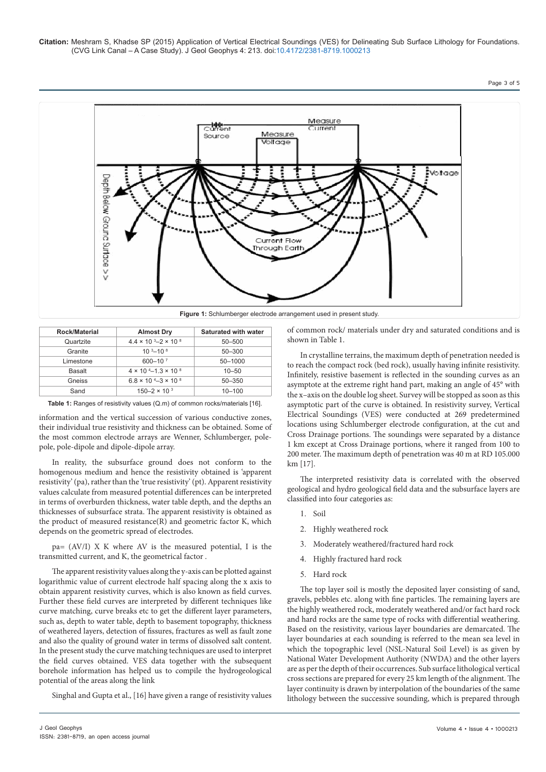**Citation:** Meshram S, Khadse SP (2015) Application of Vertical Electrical Soundings (VES) for Delineating Sub Surface Lithology for Foundations. (CVG Link Canal – A Case Study). J Geol Geophys 4: 213. doi:10.4172/2381-8719.1000213



| Rock/Material | <b>Almost Dry</b>                       | <b>Saturated with water</b> |
|---------------|-----------------------------------------|-----------------------------|
| Quartzite     | $4.4 \times 10^{-3} - 2 \times 10^{-8}$ | $50 - 500$                  |
| Granite       | $10^{3} - 10^{8}$                       | $50 - 300$                  |
| Limestone     | $600 - 10^{7}$                          | 50-1000                     |
| <b>Basalt</b> | $4 \times 10^{-4} - 1.3 \times 10^{-8}$ | $10 - 50$                   |
| Gneiss        | $6.8 \times 10^{-4} - 3 \times 10^{-8}$ | $50 - 350$                  |
| Sand          | $150 - 2 \times 10^{-3}$                | $10 - 100$                  |

**Table 1:** Ranges of resistivity values (Q.m) of common rocks/materials [16].

information and the vertical succession of various conductive zones, their individual true resistivity and thickness can be obtained. Some of the most common electrode arrays are Wenner, Schlumberger, polepole, pole-dipole and dipole-dipole array.

In reality, the subsurface ground does not conform to the homogenous medium and hence the resistivity obtained is 'apparent resistivity' (pa), rather than the 'true resistivity' (pt). Apparent resistivity values calculate from measured potential differences can be interpreted in terms of overburden thickness, water table depth, and the depths an thicknesses of subsurface strata. The apparent resistivity is obtained as the product of measured resistance(R) and geometric factor K, which depends on the geometric spread of electrodes.

pa= (AV/I) X K where AV is the measured potential, I is the transmitted current, and K, the geometrical factor .

The apparent resistivity values along the y-axis can be plotted against logarithmic value of current electrode half spacing along the x axis to obtain apparent resistivity curves, which is also known as field curves. Further these field curves are interpreted by different techniques like curve matching, curve breaks etc to get the different layer parameters, such as, depth to water table, depth to basement topography, thickness of weathered layers, detection of fissures, fractures as well as fault zone and also the quality of ground water in terms of dissolved salt content. In the present study the curve matching techniques are used to interpret the field curves obtained. VES data together with the subsequent borehole information has helped us to compile the hydrogeological potential of the areas along the link

Singhal and Gupta et al., [16] have given a range of resistivity values

of common rock/ materials under dry and saturated conditions and is shown in Table 1.

Page 3 of 5

In crystalline terrains, the maximum depth of penetration needed is to reach the compact rock (bed rock), usually having infinite resistivity. Infinitely, resistive basement is reflected in the sounding curves as an asymptote at the extreme right hand part, making an angle of 45° with the x–axis on the double log sheet. Survey will be stopped as soon as this asymptotic part of the curve is obtained. In resistivity survey, Vertical Electrical Soundings (VES) were conducted at 269 predetermined locations using Schlumberger electrode configuration, at the cut and Cross Drainage portions. The soundings were separated by a distance 1 km except at Cross Drainage portions, where it ranged from 100 to 200 meter. The maximum depth of penetration was 40 m at RD 105.000 km [17].

The interpreted resistivity data is correlated with the observed geological and hydro geological field data and the subsurface layers are classified into four categories as:

- 1. Soil
- 2. Highly weathered rock
- 3. Moderately weathered/fractured hard rock
- 4. Highly fractured hard rock
- 5. Hard rock

The top layer soil is mostly the deposited layer consisting of sand, gravels, pebbles etc. along with fine particles. The remaining layers are the highly weathered rock, moderately weathered and/or fact hard rock and hard rocks are the same type of rocks with differential weathering. Based on the resistivity, various layer boundaries are demarcated. The layer boundaries at each sounding is referred to the mean sea level in which the topographic level (NSL-Natural Soil Level) is as given by National Water Development Authority (NWDA) and the other layers are as per the depth of their occurrences. Sub surface lithological vertical cross sections are prepared for every 25 km length of the alignment. The layer continuity is drawn by interpolation of the boundaries of the same lithology between the successive sounding, which is prepared through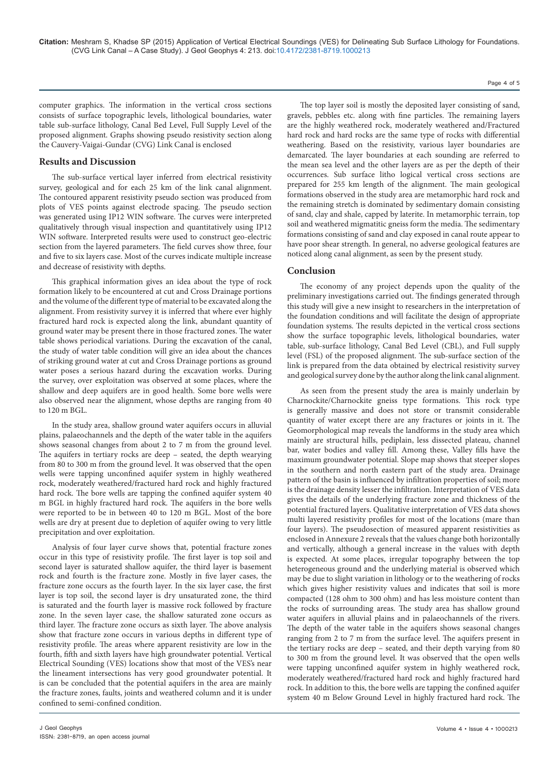computer graphics. The information in the vertical cross sections consists of surface topographic levels, lithological boundaries, water table sub-surface lithology, Canal Bed Level, Full Supply Level of the proposed alignment. Graphs showing pseudo resistivity section along the Cauvery-Vaigai-Gundar (CVG) Link Canal is enclosed

## **Results and Discussion**

The sub-surface vertical layer inferred from electrical resistivity survey, geological and for each 25 km of the link canal alignment. The contoured apparent resistivity pseudo section was produced from plots of VES points against electrode spacing. The pseudo section was generated using IP12 WIN software. The curves were interpreted qualitatively through visual inspection and quantitatively using IP12 WIN software. Interpreted results were used to construct geo-electric section from the layered parameters. The field curves show three, four and five to six layers case. Most of the curves indicate multiple increase and decrease of resistivity with depths.

This graphical information gives an idea about the type of rock formation likely to be encountered at cut and Cross Drainage portions and the volume of the different type of material to be excavated along the alignment. From resistivity survey it is inferred that where ever highly fractured hard rock is expected along the link, abundant quantity of ground water may be present there in those fractured zones. The water table shows periodical variations. During the excavation of the canal, the study of water table condition will give an idea about the chances of striking ground water at cut and Cross Drainage portions as ground water poses a serious hazard during the excavation works. During the survey, over exploitation was observed at some places, where the shallow and deep aquifers are in good health. Some bore wells were also observed near the alignment, whose depths are ranging from 40 to 120 m BGL.

In the study area, shallow ground water aquifers occurs in alluvial plains, palaeochannels and the depth of the water table in the aquifers shows seasonal changes from about 2 to 7 m from the ground level. The aquifers in tertiary rocks are deep – seated, the depth wearying from 80 to 300 m from the ground level. It was observed that the open wells were tapping unconfined aquifer system in highly weathered rock, moderately weathered/fractured hard rock and highly fractured hard rock. The bore wells are tapping the confined aquifer system 40 m BGL in highly fractured hard rock. The aquifers in the bore wells were reported to be in between 40 to 120 m BGL. Most of the bore wells are dry at present due to depletion of aquifer owing to very little precipitation and over exploitation.

Analysis of four layer curve shows that, potential fracture zones occur in this type of resistivity profile. The first layer is top soil and second layer is saturated shallow aquifer, the third layer is basement rock and fourth is the fracture zone. Mostly in five layer cases, the fracture zone occurs as the fourth layer. In the six layer case, the first layer is top soil, the second layer is dry unsaturated zone, the third is saturated and the fourth layer is massive rock followed by fracture zone. In the seven layer case, the shallow saturated zone occurs as third layer. The fracture zone occurs as sixth layer. The above analysis show that fracture zone occurs in various depths in different type of resistivity profile. The areas where apparent resistivity are low in the fourth, fifth and sixth layers have high groundwater potential. Vertical Electrical Sounding (VES) locations show that most of the VES's near the lineament intersections has very good groundwater potential. It is can be concluded that the potential aquifers in the area are mainly the fracture zones, faults, joints and weathered column and it is under confined to semi-confined condition.

The top layer soil is mostly the deposited layer consisting of sand, gravels, pebbles etc. along with fine particles. The remaining layers are the highly weathered rock, moderately weathered and/Fractured hard rock and hard rocks are the same type of rocks with differential weathering. Based on the resistivity, various layer boundaries are demarcated. The layer boundaries at each sounding are referred to the mean sea level and the other layers are as per the depth of their occurrences. Sub surface litho logical vertical cross sections are prepared for 255 km length of the alignment. The main geological formations observed in the study area are metamorphic hard rock and the remaining stretch is dominated by sedimentary domain consisting of sand, clay and shale, capped by laterite. In metamorphic terrain, top soil and weathered migmatitic gneiss form the media. The sedimentary formations consisting of sand and clay exposed in canal route appear to have poor shear strength. In general, no adverse geological features are noticed along canal alignment, as seen by the present study.

# **Conclusion**

The economy of any project depends upon the quality of the preliminary investigations carried out. The findings generated through this study will give a new insight to researchers in the interpretation of the foundation conditions and will facilitate the design of appropriate foundation systems. The results depicted in the vertical cross sections show the surface topographic levels, lithological boundaries, water table, sub-surface lithology, Canal Bed Level (CBL), and Full supply level (FSL) of the proposed alignment. The sub-surface section of the link is prepared from the data obtained by electrical resistivity survey and geological survey done by the author along the link canal alignment.

As seen from the present study the area is mainly underlain by Charnockite/Charnockite gneiss type formations. This rock type is generally massive and does not store or transmit considerable quantity of water except there are any fractures or joints in it. The Geomorphological map reveals the landforms in the study area which mainly are structural hills, pediplain, less dissected plateau, channel bar, water bodies and valley fill. Among these, Valley fills have the maximum groundwater potential. Slope map shows that steeper slopes in the southern and north eastern part of the study area. Drainage pattern of the basin is influenced by infiltration properties of soil; more is the drainage density lesser the infiltration. Interpretation of VES data gives the details of the underlying fracture zone and thickness of the potential fractured layers. Qualitative interpretation of VES data shows multi layered resistivity profiles for most of the locations (mare than four layers). The pseudosection of measured apparent resistivities as enclosed in Annexure 2 reveals that the values change both horizontally and vertically, although a general increase in the values with depth is expected. At some places, irregular topography between the top heterogeneous ground and the underlying material is observed which may be due to slight variation in lithology or to the weathering of rocks which gives higher resistivity values and indicates that soil is more compacted (128 ohm to 300 ohm) and has less moisture content than the rocks of surrounding areas. The study area has shallow ground water aquifers in alluvial plains and in palaeochannels of the rivers. The depth of the water table in the aquifers shows seasonal changes ranging from 2 to 7 m from the surface level. The aquifers present in the tertiary rocks are deep – seated, and their depth varying from 80 to 300 m from the ground level. It was observed that the open wells were tapping unconfined aquifer system in highly weathered rock, moderately weathered/fractured hard rock and highly fractured hard rock. In addition to this, the bore wells are tapping the confined aquifer system 40 m Below Ground Level in highly fractured hard rock. The